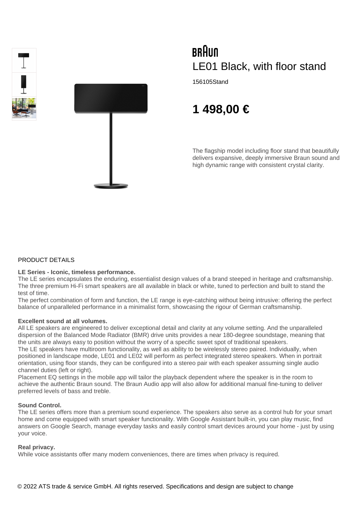



# BRAUN LE01 Black, with floor stand

156105Stand

# **1 498,00 €**

The flagship model including floor stand that beautifully delivers expansive, deeply immersive Braun sound and high dynamic range with consistent crystal clarity.

# PRODUCT DETAILS

# **LE Series - Iconic, timeless performance.**

The LE series encapsulates the enduring, essentialist design values of a brand steeped in heritage and craftsmanship. The three premium Hi-Fi smart speakers are all available in black or white, tuned to perfection and built to stand the test of time.

The perfect combination of form and function, the LE range is eye-catching without being intrusive: offering the perfect balance of unparalleled performance in a minimalist form, showcasing the rigour of German craftsmanship.

#### **Excellent sound at all volumes.**

All LE speakers are engineered to deliver exceptional detail and clarity at any volume setting. And the unparalleled dispersion of the Balanced Mode Radiator (BMR) drive units provides a near 180-degree soundstage, meaning that the units are always easy to position without the worry of a specific sweet spot of traditional speakers. The LE speakers have multiroom functionality, as well as ability to be wirelessly stereo paired. Individually, when

positioned in landscape mode, LE01 and LE02 will perform as perfect integrated stereo speakers. When in portrait orientation, using floor stands, they can be configured into a stereo pair with each speaker assuming single audio channel duties (left or right).

Placement EQ settings in the mobile app will tailor the playback dependent where the speaker is in the room to achieve the authentic Braun sound. The Braun Audio app will also allow for additional manual fine-tuning to deliver preferred levels of bass and treble.

#### **Sound Control.**

The LE series offers more than a premium sound experience. The speakers also serve as a control hub for your smart home and come equipped with smart speaker functionality. With Google Assistant built-in, you can play music, find answers on Google Search, manage everyday tasks and easily control smart devices around your home - just by using your voice.

#### **Real privacy.**

While voice assistants offer many modern conveniences, there are times when privacy is required.